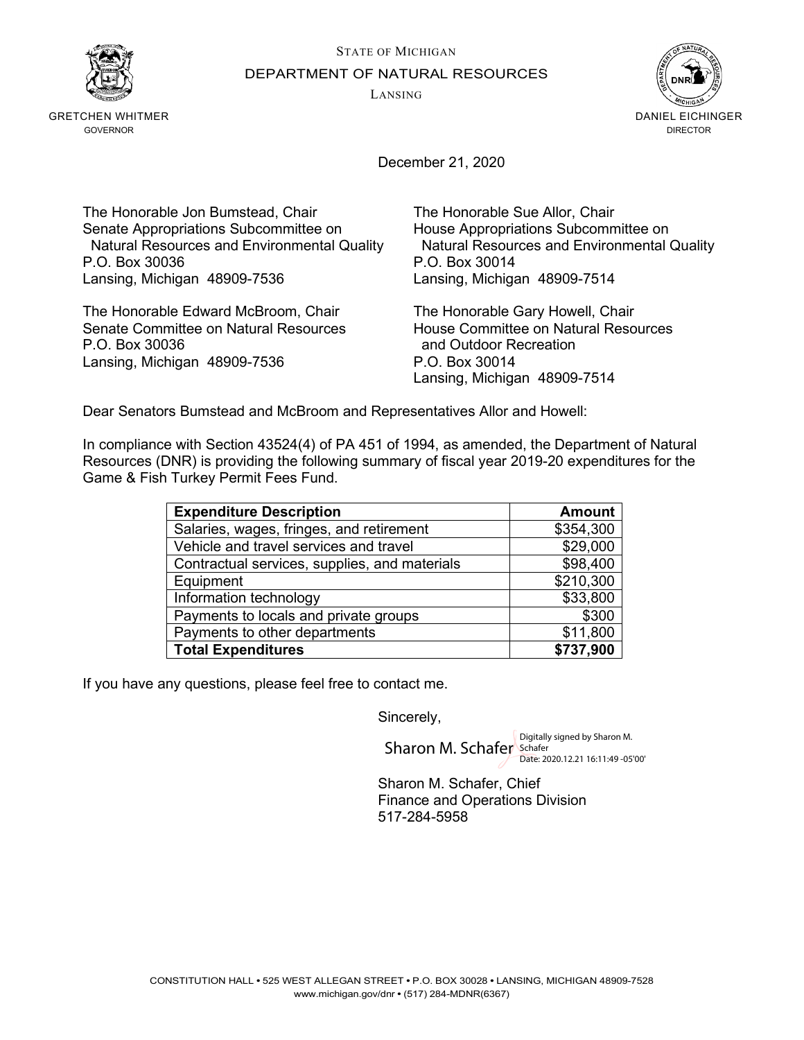STATE OF MICHIGAN DEPARTMENT OF NATURAL RESOURCES

LANSING



GRETCHEN WHITMER GOVERNOR



December 21, 2020

The Honorable Jon Bumstead, Chair The Honorable Sue Allor, Chair Senate Appropriations Subcommittee on House Appropriations Subcommittee on P.O. Box 30036 P.O. Box 30014 Lansing, Michigan 48909-7536 Lansing, Michigan 48909-7514

The Honorable Edward McBroom, Chair The Honorable Gary Howell, Chair<br>Senate Committee on Natural Resources Thouse Committee on Natural Resources Senate Committee on Natural Resources<br>P.O. Box 30036 Lansing, Michigan 48909-7536 P.O. Box 30014

Natural Resources and Environmental Quality Natural Resources and Environmental Quality

and Outdoor Recreation Lansing, Michigan 48909-7514

Dear Senators Bumstead and McBroom and Representatives Allor and Howell:

In compliance with Section 43524(4) of PA 451 of 1994, as amended, the Department of Natural Resources (DNR) is providing the following summary of fiscal year 2019-20 expenditures for the Game & Fish Turkey Permit Fees Fund.

| <b>Expenditure Description</b>                | <b>Amount</b> |
|-----------------------------------------------|---------------|
| Salaries, wages, fringes, and retirement      | \$354,300     |
| Vehicle and travel services and travel        | \$29,000      |
| Contractual services, supplies, and materials | \$98,400      |
| Equipment                                     | \$210,300     |
| Information technology                        | \$33,800      |
| Payments to locals and private groups         | \$300         |
| Payments to other departments                 | \$11,800      |
| <b>Total Expenditures</b>                     | \$737,900     |

If you have any questions, please feel free to contact me.

Sincerely,

Sharon M. Schafer Schafer Date: 2020.12.21 16:11:49 -05'00'

Sharon M. Schafer, Chief Finance and Operations Division 517-284-5958